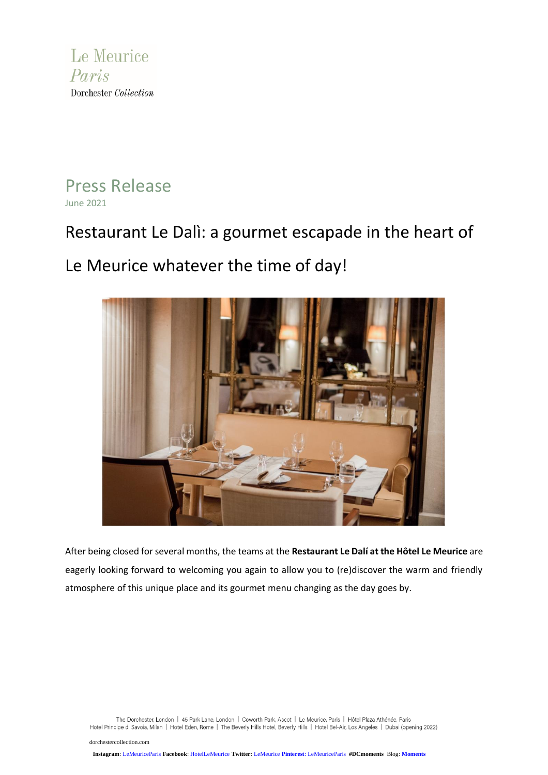

Press Release June 2021

# Restaurant Le Dalì: a gourmet escapade in the heart of

Le Meurice whatever the time of day!



After being closed for several months, the teams at the **Restaurant Le Dalí at the Hôtel Le Meurice** are eagerly looking forward to welcoming you again to allow you to (re)discover the warm and friendly atmosphere of this unique place and its gourmet menu changing as the day goes by.

The Dorchester, London | 45 Park Lane, London | Coworth Park, Ascot | Le Meurice, Paris | Hôtel Plaza Athénée, Paris<br>Hotel Principe di Savoia, Milan | Hotel Eden, Rome | The Beverly Hills Hotel, Beverly Hills | Hotel Bel-A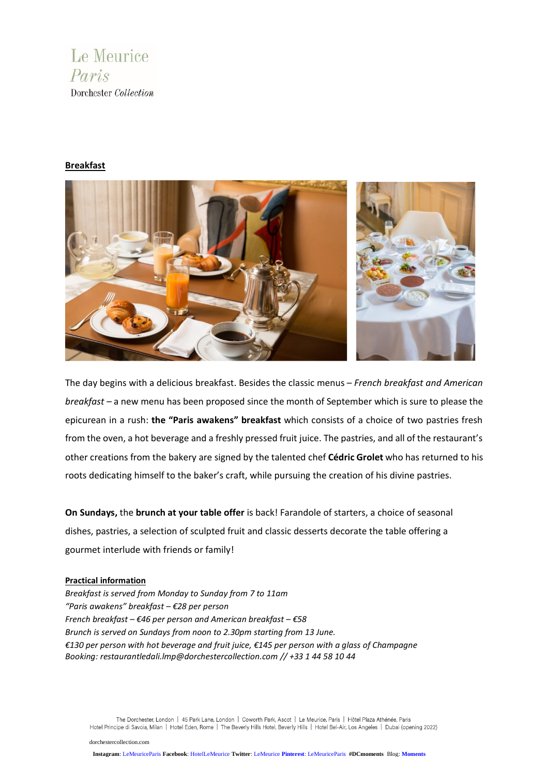

## **Breakfast**



The day begins with a delicious breakfast. Besides the classic menus – *French breakfast and American breakfast* – a new menu has been proposed since the month of September which is sure to please the epicurean in a rush: **the "Paris awakens" breakfast** which consists of a choice of two pastries fresh from the oven, a hot beverage and a freshly pressed fruit juice. The pastries, and all of the restaurant's other creations from the bakery are signed by the talented chef **Cédric Grolet** who has returned to his roots dedicating himself to the baker's craft, while pursuing the creation of his divine pastries.

**On Sundays,** the **brunch at your table offer** is back! Farandole of starters, a choice of seasonal dishes, pastries, a selection of sculpted fruit and classic desserts decorate the table offering a gourmet interlude with friends or family!

### **Practical information**

*Breakfast is served from Monday to Sunday from 7 to 11am "Paris awakens" breakfast – €28 per person French breakfast – €46 per person and American breakfast – €58 Brunch is served on Sundays from noon to 2.30pm starting from 13 June.* €130 per person with hot beverage and fruit juice, €145 per person with a glass of Champagne *Booking: [restaurantledali.lmp@dorchestercollection.com](mailto:restaurantledali.lmp@dorchestercollection.com) // +33 1 44 58 10 44*

The Dorchester, London | 45 Park Lane, London | Coworth Park, Ascot | Le Meurice, Paris | Hôtel Plaza Athénée, Paris Hotel Principe di Savoia, Milan | Hotel Eden, Rome | The Beverly Hills Hotel, Beverly Hills | Hotel Bel-Air, Los Angeles | Dubai (opening 2022)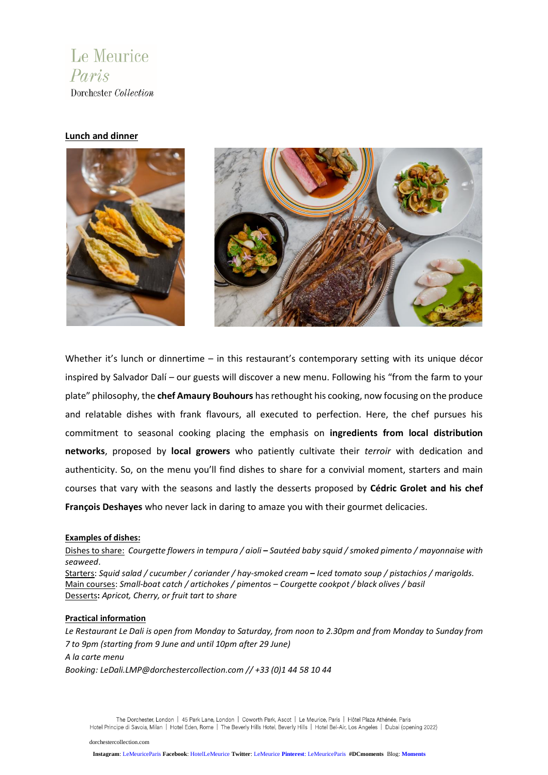**Le Meurice** Paris Dorchester Collection

# **Lunch and dinner**



Whether it's lunch or dinnertime – in this restaurant's contemporary setting with its unique décor inspired by Salvador Dalí – our guests will discover a new menu. Following his "from the farm to your plate" philosophy, the **chef Amaury Bouhours** hasrethought his cooking, now focusing on the produce and relatable dishes with frank flavours, all executed to perfection. Here, the chef pursues his commitment to seasonal cooking placing the emphasis on **ingredients from local distribution networks**, proposed by **local growers** who patiently cultivate their *terroir* with dedication and authenticity. So, on the menu you'll find dishes to share for a convivial moment, starters and main courses that vary with the seasons and lastly the desserts proposed by **Cédric Grolet and his chef François Deshayes** who never lack in daring to amaze you with their gourmet delicacies.

### **Examples of dishes:**

Dishes to share: Courgette flowers in tempura / gioli - Sautéed baby sauid / smoked pimento / mayonnaise with *seaweed*.

Starters: Squid salad / cucumber / coriander / hay-smoked cream - Iced tomato soup / pistachios / marigolds. Main courses: *Small-boat catch / artichokes / pimentos* – *Courgette cookpot / black olives / basil* Desserts**:** *Apricot, Cherry, or fruit tart to share*

#### **Practical information**

Le Restaurant Le Dali is open from Monday to Saturday, from noon to 2.30pm and from Monday to Sunday from *7 to 9pm (starting from 9 June and until 10pm after 29 June) A la carte menu*

*Booking: [LeDali.LMP@dorchestercollection.com](mailto:LeDali.LMP@dorchestercollection.com) // +33 (0)1 44 58 10 44*

The Dorchester, London | 45 Park Lane, London | Coworth Park, Ascot | Le Meurice, Paris | Hôtel Plaza Athénée, Paris Hotel Principe di Savoia, Milan | Hotel Eden, Rome | The Beverly Hills Hotel, Beverly Hills | Hotel Bel-Air, Los Angeles | Dubai (opening 2022)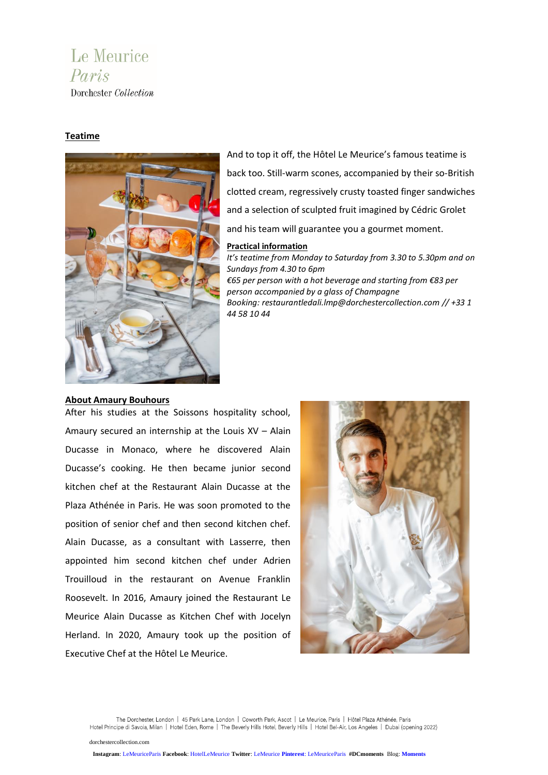# **Le Meurice** Paris Dorchester Collection

# **Teatime**



And to top it off, the Hôtel Le Meurice's famous teatime is back too. Still-warm scones, accompanied by their so-British clotted cream, regressively crusty toasted finger sandwiches and a selection of sculpted fruit imagined by Cédric Grolet and his team will guarantee you a gourmet moment.

### **Practical information**

*It's teatime from Monday to Saturday from 3.30 to 5.30pm and on Sundays from 4.30 to 6pm €65 per person with a hot beverage and starting from €83 per person accompanied by a glass of Champagne Booking: restaurantledali.lmp@dorchestercollection.com // +33 1 44 58 10 44*

### **About Amaury Bouhours**

After his studies at the Soissons hospitality school, Amaury secured an internship at the Louis XV – Alain Ducasse in Monaco, where he discovered Alain Ducasse's cooking. He then became junior second kitchen chef at the Restaurant Alain Ducasse at the Plaza Athénée in Paris. He was soon promoted to the position of senior chef and then second kitchen chef. Alain Ducasse, as a consultant with Lasserre, then appointed him second kitchen chef under Adrien Trouilloud in the restaurant on Avenue Franklin Roosevelt. In 2016, Amaury joined the Restaurant Le Meurice Alain Ducasse as Kitchen Chef with Jocelyn Herland. In 2020, Amaury took up the position of Executive Chef at the Hôtel Le Meurice.



The Dorchester, London | 45 Park Lane, London | Coworth Park, Ascot | Le Meurice, Paris | Hôtel Plaza Athénée, Paris Hotel Principe di Savoia, Milan | Hotel Eden, Rome | The Beverly Hills Hotel, Beverly Hills | Hotel Bel-Air, Los Angeles | Dubai (opening 2022)